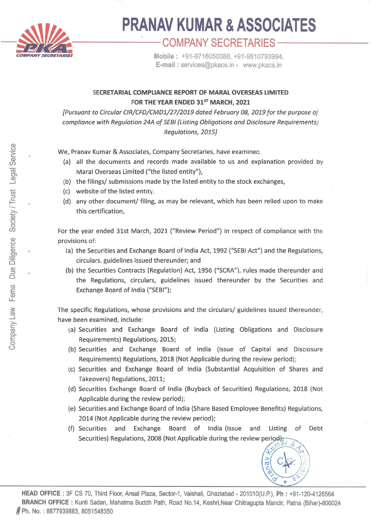

## **lfl PRANAV KUMAR &ASSOCIATES** --**-------'---COMPANY SECRETARIES----- COMPANY SECRETARIES Mobile:** +91-9716050088, +91-9810793994,

**E-mail** : services@pkacs.in • www.pkacs.in

## **SECRETARIAL COMPLIANCE REPORT OF MARAL OVERSEAS LIMITED**  FOR THE YEAR ENDED 31<sup>ST</sup> MARCH, 2021

[Pursuant to Circular CIR/CFD/CMD1/27/2019 dated February 08, 2019 for the purpose of compliance with Regulation 24A of SEBI (Listing Obligations and Disclosure Requirements/ Regulations, 2015]

We, Pranav Kumar & Associates, Company Secretaries, have examinea.

- (a) all the documents and records made available to us and explanation provided by Maral Overseas Limited ("the listed entity"),
- (b) the filings/ submissions made by the listed entity to the stock exchanges,
- (c) website of the listed entity,
- (d) any other document/ filing, as may be relevant, which has been relied upon to make this certification,

For the year ended 31st March, 2021 ("Review Period") in respect of compliance with the provisions of:

- (a) the Securities and Exchange Board of India Act, 1992 {"SEBI Act") and the Regulations, circulars, guidelines issued thereunder; and
- (b) the Securities Contracts (Regulation) Act, 1956 ("SCRA"), rules made thereunder and the Regulations, circulars, guidelines issued thereunder by the Securities and Exchange Board of India ("SEBI");

The specific Regulations, whose provisions and the circulars/ guidelines issued thereunder, have been examined, include:

- (a) Securities and Exchange Board of India (Listing Obligations and Disclosure Requirements) Regulations, 2015;
- (b) Securities and Exchange Board of India (Issue of Capital and Disclosure Requirements) Regulations, 2018 (Not Applicable during the review period);
- \c) Securities and Exchange Board of India (Substantial Acquisition of Shares and Takeovers) Regulations, 2011;
- (d) Securities Exchange Board of India (Buyback of Securities) Regulations, 2018 (Not Applicable during the review period);
- (e) Securities and Exchange Board of India (Share Based Employee Benefits) Regulations, 2014 (Not Applicable during the review period);
- (f) Securities and Exchange Board of India (Issue and Listing of Debt Securities) Regulations, 2008 (Not Applicable during the review period);

 $\frac{2}{5}$  CS:  $\frac{2}{5}$ C- *1->* 

**HEAD OFFICE:** 3F CS 70, Third Floor, Ansal Plaza, Sector-1, Vaishali, Ghaziabad - 201010(U.P.), **Ph:** +91 -120-4126564 **BRANCH OFFICE** : Kunti Sadan, Mahatma Buddh Path, Road No.14, Keshri,Near Chitragupta Mandir, Patna (Bihar)-800024 **J** Ph. No.: 8877939883, 8051548350

•

•

•

..